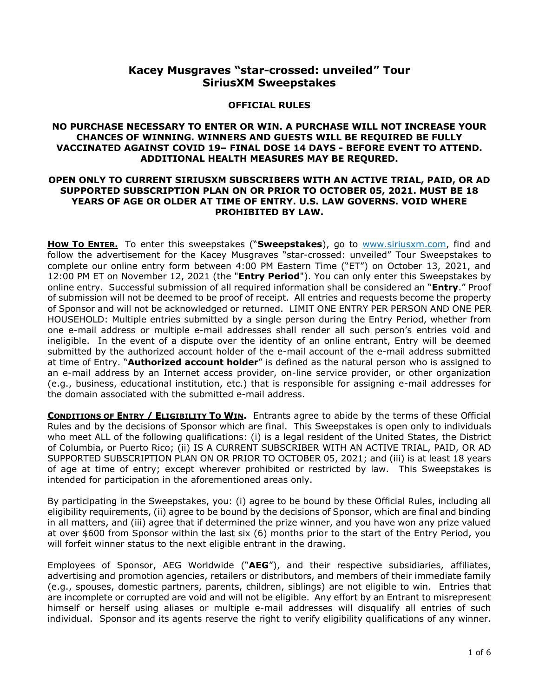# **Kacey Musgraves "star-crossed: unveiled" Tour SiriusXM Sweepstakes**

#### **OFFICIAL RULES**

### **NO PURCHASE NECESSARY TO ENTER OR WIN. A PURCHASE WILL NOT INCREASE YOUR CHANCES OF WINNING. WINNERS AND GUESTS WILL BE REQUIRED BE FULLY VACCINATED AGAINST COVID 19– FINAL DOSE 14 DAYS - BEFORE EVENT TO ATTEND. ADDITIONAL HEALTH MEASURES MAY BE REQURED.**

### **OPEN ONLY TO CURRENT SIRIUSXM SUBSCRIBERS WITH AN ACTIVE TRIAL, PAID, OR AD SUPPORTED SUBSCRIPTION PLAN ON OR PRIOR TO OCTOBER 05, 2021. MUST BE 18 YEARS OF AGE OR OLDER AT TIME OF ENTRY. U.S. LAW GOVERNS. VOID WHERE PROHIBITED BY LAW.**

**How To ENTER.** To enter this sweepstakes ("Sweepstakes), go to [www.siriusxm.com,](http://www.siriusxm.com/) find and follow the advertisement for the Kacey Musgraves "star-crossed: unveiled" Tour Sweepstakes to complete our online entry form between 4:00 PM Eastern Time ("ET") on October 13, 2021, and 12:00 PM ET on November 12, 2021 (the "**Entry Period**"). You can only enter this Sweepstakes by online entry. Successful submission of all required information shall be considered an "**Entry**." Proof of submission will not be deemed to be proof of receipt. All entries and requests become the property of Sponsor and will not be acknowledged or returned. LIMIT ONE ENTRY PER PERSON AND ONE PER HOUSEHOLD: Multiple entries submitted by a single person during the Entry Period, whether from one e-mail address or multiple e-mail addresses shall render all such person's entries void and ineligible. In the event of a dispute over the identity of an online entrant, Entry will be deemed submitted by the authorized account holder of the e-mail account of the e-mail address submitted at time of Entry. "**Authorized account holder**" is defined as the natural person who is assigned to an e-mail address by an Internet access provider, on-line service provider, or other organization (e.g., business, educational institution, etc.) that is responsible for assigning e-mail addresses for the domain associated with the submitted e-mail address.

**CONDITIONS OF ENTRY / ELIGIBILITY TO WIN.** Entrants agree to abide by the terms of these Official Rules and by the decisions of Sponsor which are final. This Sweepstakes is open only to individuals who meet ALL of the following qualifications: (i) is a legal resident of the United States, the District of Columbia, or Puerto Rico; (ii) IS A CURRENT SUBSCRIBER WITH AN ACTIVE TRIAL, PAID, OR AD SUPPORTED SUBSCRIPTION PLAN ON OR PRIOR TO OCTOBER 05, 2021; and (iii) is at least 18 years of age at time of entry; except wherever prohibited or restricted by law. This Sweepstakes is intended for participation in the aforementioned areas only.

By participating in the Sweepstakes, you: (i) agree to be bound by these Official Rules, including all eligibility requirements, (ii) agree to be bound by the decisions of Sponsor, which are final and binding in all matters, and (iii) agree that if determined the prize winner, and you have won any prize valued at over \$600 from Sponsor within the last six (6) months prior to the start of the Entry Period, you will forfeit winner status to the next eligible entrant in the drawing.

Employees of Sponsor, AEG Worldwide ("**AEG**"), and their respective subsidiaries, affiliates, advertising and promotion agencies, retailers or distributors, and members of their immediate family (e.g., spouses, domestic partners, parents, children, siblings) are not eligible to win. Entries that are incomplete or corrupted are void and will not be eligible. Any effort by an Entrant to misrepresent himself or herself using aliases or multiple e-mail addresses will disqualify all entries of such individual. Sponsor and its agents reserve the right to verify eligibility qualifications of any winner.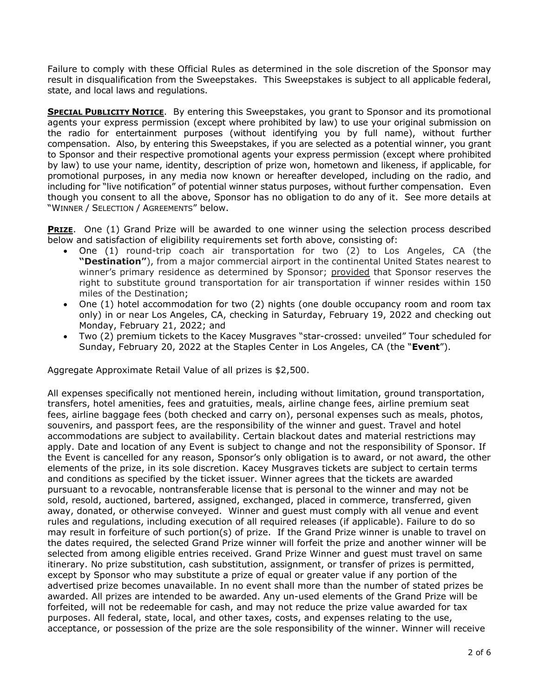Failure to comply with these Official Rules as determined in the sole discretion of the Sponsor may result in disqualification from the Sweepstakes. This Sweepstakes is subject to all applicable federal, state, and local laws and regulations.

**SPECIAL PUBLICITY NOTICE.** By entering this Sweepstakes, you grant to Sponsor and its promotional agents your express permission (except where prohibited by law) to use your original submission on the radio for entertainment purposes (without identifying you by full name), without further compensation. Also, by entering this Sweepstakes, if you are selected as a potential winner, you grant to Sponsor and their respective promotional agents your express permission (except where prohibited by law) to use your name, identity, description of prize won, hometown and likeness, if applicable, for promotional purposes, in any media now known or hereafter developed, including on the radio, and including for "live notification" of potential winner status purposes, without further compensation. Even though you consent to all the above, Sponsor has no obligation to do any of it. See more details at "WINNER / SELECTION / AGREEMENTS" below.

**PRIZE.** One (1) Grand Prize will be awarded to one winner using the selection process described below and satisfaction of eligibility requirements set forth above, consisting of:

- One (1) round-trip coach air transportation for two (2) to Los Angeles, CA (the **"Destination"**), from a major commercial airport in the continental United States nearest to winner's primary residence as determined by Sponsor; provided that Sponsor reserves the right to substitute ground transportation for air transportation if winner resides within 150 miles of the Destination;
- One (1) hotel accommodation for two (2) nights (one double occupancy room and room tax only) in or near Los Angeles, CA, checking in Saturday, February 19, 2022 and checking out Monday, February 21, 2022; and
- Two (2) premium tickets to the Kacey Musgraves "star-crossed: unveiled" Tour scheduled for Sunday, February 20, 2022 at the Staples Center in Los Angeles, CA (the "**Event**").

Aggregate Approximate Retail Value of all prizes is \$2,500.

All expenses specifically not mentioned herein, including without limitation, ground transportation, transfers, hotel amenities, fees and gratuities, meals, airline change fees, airline premium seat fees, airline baggage fees (both checked and carry on), personal expenses such as meals, photos, souvenirs, and passport fees, are the responsibility of the winner and guest. Travel and hotel accommodations are subject to availability. Certain blackout dates and material restrictions may apply. Date and location of any Event is subject to change and not the responsibility of Sponsor. If the Event is cancelled for any reason, Sponsor's only obligation is to award, or not award, the other elements of the prize, in its sole discretion. Kacey Musgraves tickets are subject to certain terms and conditions as specified by the ticket issuer. Winner agrees that the tickets are awarded pursuant to a revocable, nontransferable license that is personal to the winner and may not be sold, resold, auctioned, bartered, assigned, exchanged, placed in commerce, transferred, given away, donated, or otherwise conveyed. Winner and guest must comply with all venue and event rules and regulations, including execution of all required releases (if applicable). Failure to do so may result in forfeiture of such portion(s) of prize. If the Grand Prize winner is unable to travel on the dates required, the selected Grand Prize winner will forfeit the prize and another winner will be selected from among eligible entries received. Grand Prize Winner and guest must travel on same itinerary. No prize substitution, cash substitution, assignment, or transfer of prizes is permitted, except by Sponsor who may substitute a prize of equal or greater value if any portion of the advertised prize becomes unavailable. In no event shall more than the number of stated prizes be awarded. All prizes are intended to be awarded. Any un-used elements of the Grand Prize will be forfeited, will not be redeemable for cash, and may not reduce the prize value awarded for tax purposes. All federal, state, local, and other taxes, costs, and expenses relating to the use, acceptance, or possession of the prize are the sole responsibility of the winner. Winner will receive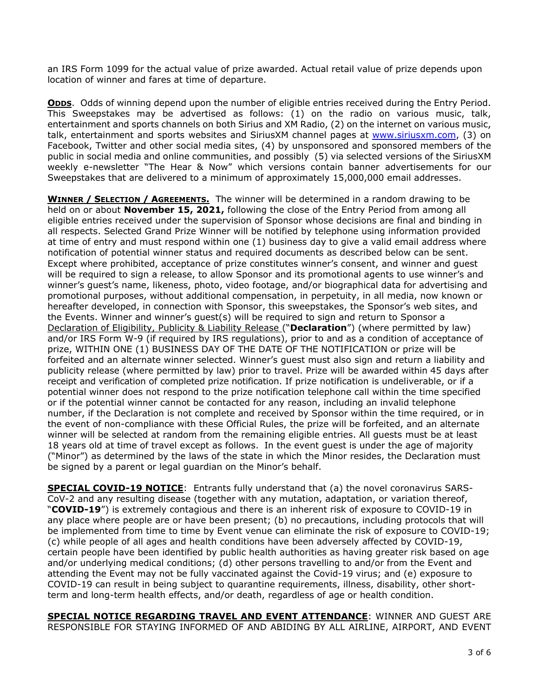an IRS Form 1099 for the actual value of prize awarded. Actual retail value of prize depends upon location of winner and fares at time of departure.

**ODDS.** Odds of winning depend upon the number of eligible entries received during the Entry Period. This Sweepstakes may be advertised as follows: (1) on the radio on various music, talk, entertainment and sports channels on both Sirius and XM Radio, (2) on the internet on various music, talk, entertainment and sports websites and SiriusXM channel pages at [www.siriusxm.com,](http://www.siriusxm.com/) (3) on Facebook, Twitter and other social media sites, (4) by unsponsored and sponsored members of the public in social media and online communities, and possibly (5) via selected versions of the SiriusXM weekly e-newsletter "The Hear & Now" which versions contain banner advertisements for our Sweepstakes that are delivered to a minimum of approximately 15,000,000 email addresses.

**WINNER / SELECTION / AGREEMENTS.** The winner will be determined in a random drawing to be held on or about **November 15, 2021,** following the close of the Entry Period from among all eligible entries received under the supervision of Sponsor whose decisions are final and binding in all respects. Selected Grand Prize Winner will be notified by telephone using information provided at time of entry and must respond within one (1) business day to give a valid email address where notification of potential winner status and required documents as described below can be sent. Except where prohibited, acceptance of prize constitutes winner's consent, and winner and guest will be required to sign a release, to allow Sponsor and its promotional agents to use winner's and winner's guest's name, likeness, photo, video footage, and/or biographical data for advertising and promotional purposes, without additional compensation, in perpetuity, in all media, now known or hereafter developed, in connection with Sponsor, this sweepstakes, the Sponsor's web sites, and the Events. Winner and winner's guest(s) will be required to sign and return to Sponsor a Declaration of Eligibility, Publicity & Liability Release ("**Declaration**") (where permitted by law) and/or IRS Form W-9 (if required by IRS regulations), prior to and as a condition of acceptance of prize, WITHIN ONE (1) BUSINESS DAY OF THE DATE OF THE NOTIFICATION or prize will be forfeited and an alternate winner selected. Winner's guest must also sign and return a liability and publicity release (where permitted by law) prior to travel. Prize will be awarded within 45 days after receipt and verification of completed prize notification. If prize notification is undeliverable, or if a potential winner does not respond to the prize notification telephone call within the time specified or if the potential winner cannot be contacted for any reason, including an invalid telephone number, if the Declaration is not complete and received by Sponsor within the time required, or in the event of non-compliance with these Official Rules, the prize will be forfeited, and an alternate winner will be selected at random from the remaining eligible entries. All guests must be at least 18 years old at time of travel except as follows. In the event guest is under the age of majority ("Minor") as determined by the laws of the state in which the Minor resides, the Declaration must be signed by a parent or legal guardian on the Minor's behalf.

**SPECIAL COVID-19 NOTICE**: Entrants fully understand that (a) the novel coronavirus SARS-CoV-2 and any resulting disease (together with any mutation, adaptation, or variation thereof, "**COVID-19**") is extremely contagious and there is an inherent risk of exposure to COVID-19 in any place where people are or have been present; (b) no precautions, including protocols that will be implemented from time to time by Event venue can eliminate the risk of exposure to COVID-19; (c) while people of all ages and health conditions have been adversely affected by COVID-19, certain people have been identified by public health authorities as having greater risk based on age and/or underlying medical conditions; (d) other persons travelling to and/or from the Event and attending the Event may not be fully vaccinated against the Covid-19 virus; and (e) exposure to COVID-19 can result in being subject to quarantine requirements, illness, disability, other shortterm and long-term health effects, and/or death, regardless of age or health condition.

**SPECIAL NOTICE REGARDING TRAVEL AND EVENT ATTENDANCE**: WINNER AND GUEST ARE RESPONSIBLE FOR STAYING INFORMED OF AND ABIDING BY ALL AIRLINE, AIRPORT, AND EVENT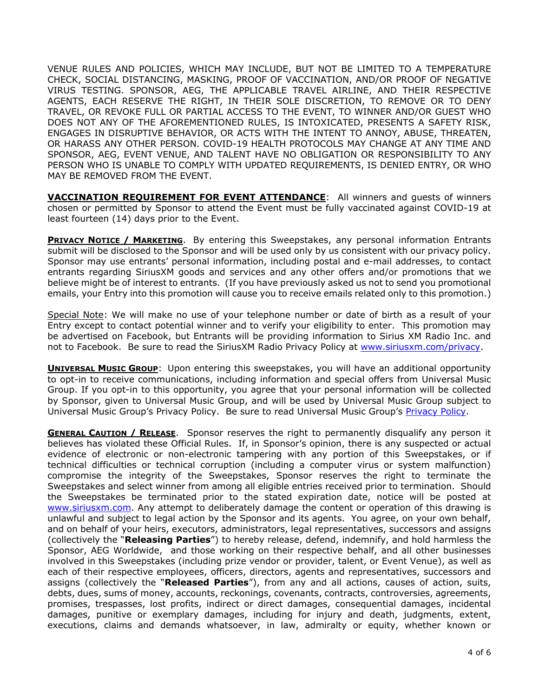VENUE RULES AND POLICIES, WHICH MAY INCLUDE, BUT NOT BE LIMITED TO A TEMPERATURE CHECK, SOCIAL DISTANCING, MASKING, PROOF OF VACCINATION, AND/OR PROOF OF NEGATIVE VIRUS TESTING. SPONSOR, AEG, THE APPLICABLE TRAVEL AIRLINE, AND THEIR RESPECTIVE AGENTS, EACH RESERVE THE RIGHT, IN THEIR SOLE DISCRETION, TO REMOVE OR TO DENY TRAVEL, OR REVOKE FULL OR PARTIAL ACCESS TO THE EVENT, TO WINNER AND/OR GUEST WHO DOES NOT ANY OF THE AFOREMENTIONED RULES, IS INTOXICATED, PRESENTS A SAFETY RISK, ENGAGES IN DISRUPTIVE BEHAVIOR, OR ACTS WITH THE INTENT TO ANNOY, ABUSE, THREATEN, OR HARASS ANY OTHER PERSON. COVID-19 HEALTH PROTOCOLS MAY CHANGE AT ANY TIME AND SPONSOR, AEG, EVENT VENUE, AND TALENT HAVE NO OBLIGATION OR RESPONSIBILITY TO ANY PERSON WHO IS UNABLE TO COMPLY WITH UPDATED REQUIREMENTS, IS DENIED ENTRY, OR WHO MAY BE REMOVED FROM THE EVENT.

**VACCINATION REQUIREMENT FOR EVENT ATTENDANCE**: All winners and guests of winners chosen or permitted by Sponsor to attend the Event must be fully vaccinated against COVID-19 at least fourteen (14) days prior to the Event.

**PRIVACY NOTICE / MARKETING.** By entering this Sweepstakes, any personal information Entrants submit will be disclosed to the Sponsor and will be used only by us consistent with our privacy policy. Sponsor may use entrants' personal information, including postal and e-mail addresses, to contact entrants regarding SiriusXM goods and services and any other offers and/or promotions that we believe might be of interest to entrants. (If you have previously asked us not to send you promotional emails, your Entry into this promotion will cause you to receive emails related only to this promotion.)

Special Note: We will make no use of your telephone number or date of birth as a result of your Entry except to contact potential winner and to verify your eligibility to enter. This promotion may be advertised on Facebook, but Entrants will be providing information to Sirius XM Radio Inc. and not to Facebook. Be sure to read the SiriusXM Radio Privacy Policy at [www.siriusxm.com/privacy.](http://www.siriusxm.com/privacy)

**UNIVERSAL MUSIC GROUP**: Upon entering this sweepstakes, you will have an additional opportunity to opt-in to receive communications, including information and special offers from Universal Music Group. If you opt-in to this opportunity, you agree that your personal information will be collected by Sponsor, given to Universal Music Group, and will be used by Universal Music Group subject to Universal Music Group's Privacy Policy. Be sure to read Universal Music Group's [Privacy Policy.](https://privacy.umusic.com/)

**GENERAL CAUTION / RELEASE.** Sponsor reserves the right to permanently disqualify any person it believes has violated these Official Rules. If, in Sponsor's opinion, there is any suspected or actual evidence of electronic or non-electronic tampering with any portion of this Sweepstakes, or if technical difficulties or technical corruption (including a computer virus or system malfunction) compromise the integrity of the Sweepstakes, Sponsor reserves the right to terminate the Sweepstakes and select winner from among all eligible entries received prior to termination. Should the Sweepstakes be terminated prior to the stated expiration date, notice will be posted at [www.siriusxm.com.](http://www.siriusxm.com/) Any attempt to deliberately damage the content or operation of this drawing is unlawful and subject to legal action by the Sponsor and its agents. You agree, on your own behalf, and on behalf of your heirs, executors, administrators, legal representatives, successors and assigns (collectively the "**Releasing Parties**") to hereby release, defend, indemnify, and hold harmless the Sponsor, AEG Worldwide, and those working on their respective behalf, and all other businesses involved in this Sweepstakes (including prize vendor or provider, talent, or Event Venue), as well as each of their respective employees, officers, directors, agents and representatives, successors and assigns (collectively the "**Released Parties**"), from any and all actions, causes of action, suits, debts, dues, sums of money, accounts, reckonings, covenants, contracts, controversies, agreements, promises, trespasses, lost profits, indirect or direct damages, consequential damages, incidental damages, punitive or exemplary damages, including for injury and death, judgments, extent, executions, claims and demands whatsoever, in law, admiralty or equity, whether known or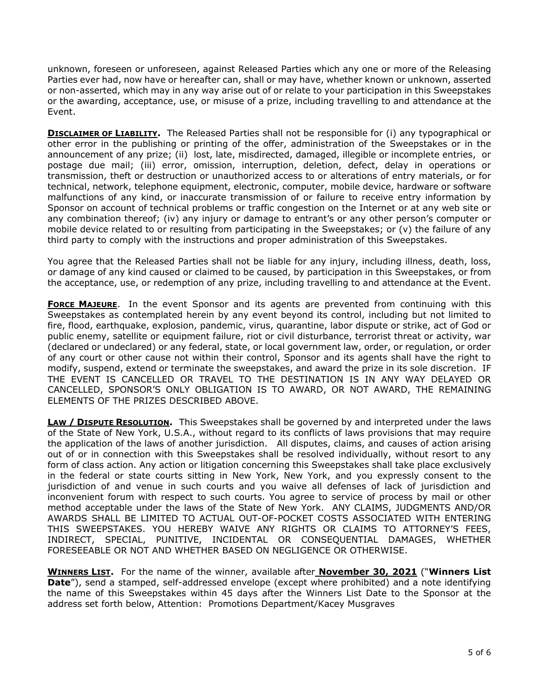unknown, foreseen or unforeseen, against Released Parties which any one or more of the Releasing Parties ever had, now have or hereafter can, shall or may have, whether known or unknown, asserted or non-asserted, which may in any way arise out of or relate to your participation in this Sweepstakes or the awarding, acceptance, use, or misuse of a prize, including travelling to and attendance at the Event.

**DISCLAIMER OF LIABILITY.** The Released Parties shall not be responsible for (i) any typographical or other error in the publishing or printing of the offer, administration of the Sweepstakes or in the announcement of any prize; (ii) lost, late, misdirected, damaged, illegible or incomplete entries, or postage due mail; (iii) error, omission, interruption, deletion, defect, delay in operations or transmission, theft or destruction or unauthorized access to or alterations of entry materials, or for technical, network, telephone equipment, electronic, computer, mobile device, hardware or software malfunctions of any kind, or inaccurate transmission of or failure to receive entry information by Sponsor on account of technical problems or traffic congestion on the Internet or at any web site or any combination thereof; (iv) any injury or damage to entrant's or any other person's computer or mobile device related to or resulting from participating in the Sweepstakes; or (v) the failure of any third party to comply with the instructions and proper administration of this Sweepstakes.

You agree that the Released Parties shall not be liable for any injury, including illness, death, loss, or damage of any kind caused or claimed to be caused, by participation in this Sweepstakes, or from the acceptance, use, or redemption of any prize, including travelling to and attendance at the Event.

**FORCE MAJEURE**. In the event Sponsor and its agents are prevented from continuing with this Sweepstakes as contemplated herein by any event beyond its control, including but not limited to fire, flood, earthquake, explosion, pandemic, virus, quarantine, labor dispute or strike, act of God or public enemy, satellite or equipment failure, riot or civil disturbance, terrorist threat or activity, war (declared or undeclared) or any federal, state, or local government law, order, or regulation, or order of any court or other cause not within their control, Sponsor and its agents shall have the right to modify, suspend, extend or terminate the sweepstakes, and award the prize in its sole discretion. IF THE EVENT IS CANCELLED OR TRAVEL TO THE DESTINATION IS IN ANY WAY DELAYED OR CANCELLED, SPONSOR'S ONLY OBLIGATION IS TO AWARD, OR NOT AWARD, THE REMAINING ELEMENTS OF THE PRIZES DESCRIBED ABOVE.

**LAW / DISPUTE RESOLUTION.** This Sweepstakes shall be governed by and interpreted under the laws of the State of New York, U.S.A., without regard to its conflicts of laws provisions that may require the application of the laws of another jurisdiction. All disputes, claims, and causes of action arising out of or in connection with this Sweepstakes shall be resolved individually, without resort to any form of class action. Any action or litigation concerning this Sweepstakes shall take place exclusively in the federal or state courts sitting in New York, New York, and you expressly consent to the jurisdiction of and venue in such courts and you waive all defenses of lack of jurisdiction and inconvenient forum with respect to such courts. You agree to service of process by mail or other method acceptable under the laws of the State of New York. ANY CLAIMS, JUDGMENTS AND/OR AWARDS SHALL BE LIMITED TO ACTUAL OUT-OF-POCKET COSTS ASSOCIATED WITH ENTERING THIS SWEEPSTAKES. YOU HEREBY WAIVE ANY RIGHTS OR CLAIMS TO ATTORNEY'S FEES, INDIRECT, SPECIAL, PUNITIVE, INCIDENTAL OR CONSEQUENTIAL DAMAGES, WHETHER FORESEEABLE OR NOT AND WHETHER BASED ON NEGLIGENCE OR OTHERWISE.

**WINNERS LIST.** For the name of the winner, available after **November 30, 2021** ("**Winners List Date**"), send a stamped, self-addressed envelope (except where prohibited) and a note identifying the name of this Sweepstakes within 45 days after the Winners List Date to the Sponsor at the address set forth below, Attention: Promotions Department/Kacey Musgraves